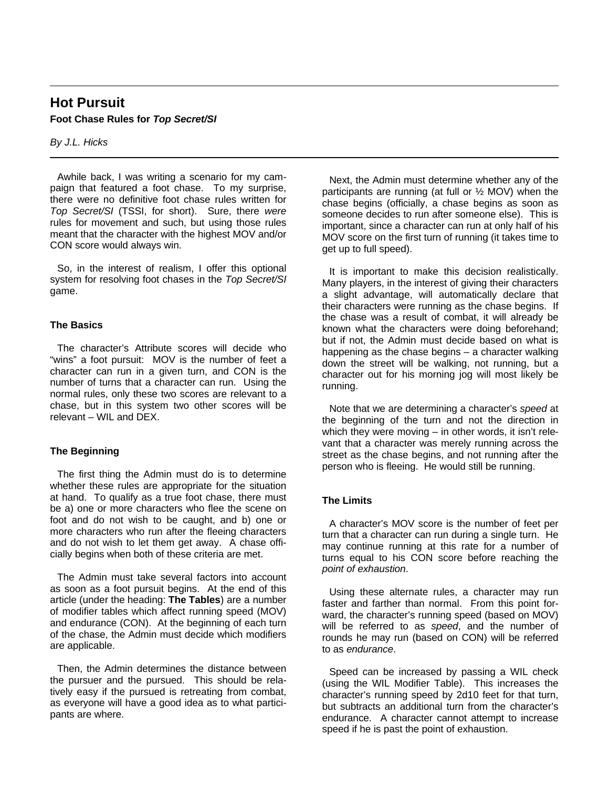# **Hot Pursuit Foot Chase Rules for** *Top Secret/SI*

*By J.L. Hicks*

Awhile back, I was writing a scenario for my campaign that featured a foot chase. To my surprise, there were no definitive foot chase rules written for *Top Secret/SI* (TSSI, for short). Sure, there *were* rules for movement and such, but using those rules meant that the character with the highest MOV and/or CON score would always win.

So, in the interest of realism, I offer this optional system for resolving foot chases in the *Top Secret/SI* game.

## **The Basics**

The character's Attribute scores will decide who "wins" a foot pursuit: MOV is the number of feet a character can run in a given turn, and CON is the number of turns that a character can run. Using the normal rules, only these two scores are relevant to a chase, but in this system two other scores will be relevant – WIL and DEX.

# **The Beginning**

The first thing the Admin must do is to determine whether these rules are appropriate for the situation at hand. To qualify as a true foot chase, there must be a) one or more characters who flee the scene on foot and do not wish to be caught, and b) one or more characters who run after the fleeing characters and do not wish to let them get away. A chase officially begins when both of these criteria are met.

The Admin must take several factors into account as soon as a foot pursuit begins. At the end of this article (under the heading: **The Tables**) are a number of modifier tables which affect running speed (MOV) and endurance (CON). At the beginning of each turn of the chase, the Admin must decide which modifiers are applicable.

Then, the Admin determines the distance between the pursuer and the pursued. This should be relatively easy if the pursued is retreating from combat, as everyone will have a good idea as to what participants are where.

Next, the Admin must determine whether any of the participants are running (at full or  $\frac{1}{2}$  MOV) when the chase begins (officially, a chase begins as soon as someone decides to run after someone else). This is important, since a character can run at only half of his MOV score on the first turn of running (it takes time to get up to full speed).

It is important to make this decision realistically. Many players, in the interest of giving their characters a slight advantage, will automatically declare that their characters were running as the chase begins. If the chase was a result of combat, it will already be known what the characters were doing beforehand; but if not, the Admin must decide based on what is happening as the chase begins – a character walking down the street will be walking, not running, but a character out for his morning jog will most likely be running.

Note that we are determining a character's *speed* at the beginning of the turn and not the direction in which they were moving – in other words, it isn't relevant that a character was merely running across the street as the chase begins, and not running after the person who is fleeing. He would still be running.

# **The Limits**

A character's MOV score is the number of feet per turn that a character can run during a single turn. He may continue running at this rate for a number of turns equal to his CON score before reaching the *point of exhaustion*.

Using these alternate rules, a character may run faster and farther than normal. From this point forward, the character's running speed (based on MOV) will be referred to as *speed*, and the number of rounds he may run (based on CON) will be referred to as *endurance*.

Speed can be increased by passing a WIL check (using the WIL Modifier Table). This increases the character's running speed by 2d10 feet for that turn, but subtracts an additional turn from the character's endurance. A character cannot attempt to increase speed if he is past the point of exhaustion.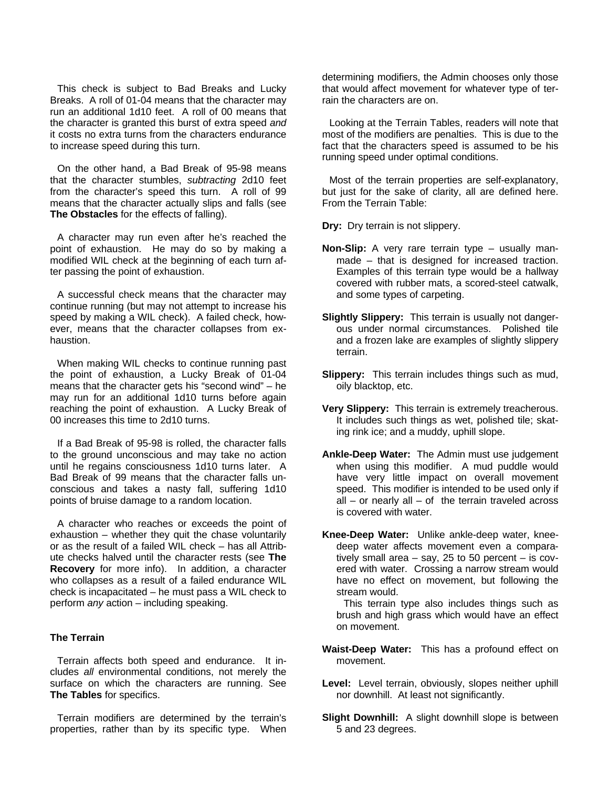This check is subject to Bad Breaks and Lucky Breaks. A roll of 01-04 means that the character may run an additional 1d10 feet. A roll of 00 means that the character is granted this burst of extra speed *and* it costs no extra turns from the characters endurance to increase speed during this turn.

On the other hand, a Bad Break of 95-98 means that the character stumbles, *subtracting* 2d10 feet from the character's speed this turn. A roll of 99 means that the character actually slips and falls (see **The Obstacles** for the effects of falling).

A character may run even after he's reached the point of exhaustion. He may do so by making a modified WIL check at the beginning of each turn after passing the point of exhaustion.

A successful check means that the character may continue running (but may not attempt to increase his speed by making a WIL check). A failed check, however, means that the character collapses from exhaustion.

When making WIL checks to continue running past the point of exhaustion, a Lucky Break of 01-04 means that the character gets his "second wind" – he may run for an additional 1d10 turns before again reaching the point of exhaustion. A Lucky Break of 00 increases this time to 2d10 turns.

If a Bad Break of 95-98 is rolled, the character falls to the ground unconscious and may take no action until he regains consciousness 1d10 turns later. A Bad Break of 99 means that the character falls unconscious and takes a nasty fall, suffering 1d10 points of bruise damage to a random location.

A character who reaches or exceeds the point of exhaustion – whether they quit the chase voluntarily or as the result of a failed WIL check – has all Attribute checks halved until the character rests (see **The Recovery** for more info). In addition, a character who collapses as a result of a failed endurance WIL check is incapacitated – he must pass a WIL check to perform *any* action – including speaking.

#### **The Terrain**

Terrain affects both speed and endurance. It includes *all* environmental conditions, not merely the surface on which the characters are running. See **The Tables** for specifics.

Terrain modifiers are determined by the terrain's properties, rather than by its specific type. When

determining modifiers, the Admin chooses only those that would affect movement for whatever type of terrain the characters are on.

Looking at the Terrain Tables, readers will note that most of the modifiers are penalties. This is due to the fact that the characters speed is assumed to be his running speed under optimal conditions.

Most of the terrain properties are self-explanatory, but just for the sake of clarity, all are defined here. From the Terrain Table:

**Dry:** Dry terrain is not slippery.

- **Non-Slip:** A very rare terrain type usually manmade – that is designed for increased traction. Examples of this terrain type would be a hallway covered with rubber mats, a scored-steel catwalk, and some types of carpeting.
- **Slightly Slippery:** This terrain is usually not dangerous under normal circumstances. Polished tile and a frozen lake are examples of slightly slippery terrain.
- **Slippery:** This terrain includes things such as mud, oily blacktop, etc.
- **Very Slippery:** This terrain is extremely treacherous. It includes such things as wet, polished tile; skating rink ice; and a muddy, uphill slope.
- **Ankle-Deep Water:** The Admin must use judgement when using this modifier. A mud puddle would have very little impact on overall movement speed. This modifier is intended to be used only if  $all - or nearly all - of the terrain traveled across$ is covered with water.
- **Knee-Deep Water:** Unlike ankle-deep water, kneedeep water affects movement even a comparatively small area – say, 25 to 50 percent – is covered with water. Crossing a narrow stream would have no effect on movement, but following the stream would.

This terrain type also includes things such as brush and high grass which would have an effect on movement.

- **Waist-Deep Water:** This has a profound effect on movement.
- **Level:** Level terrain, obviously, slopes neither uphill nor downhill. At least not significantly.
- **Slight Downhill:** A slight downhill slope is between 5 and 23 degrees.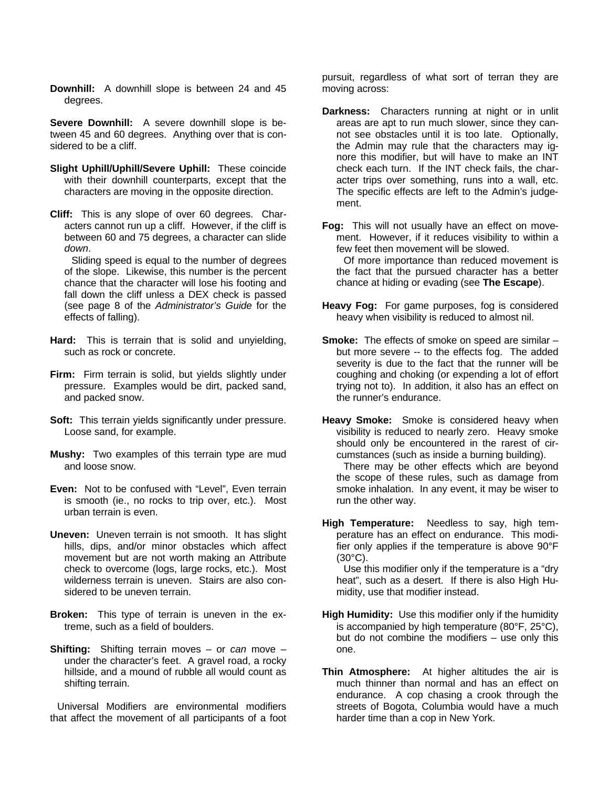**Downhill:** A downhill slope is between 24 and 45 degrees.

**Severe Downhill:** A severe downhill slope is between 45 and 60 degrees. Anything over that is considered to be a cliff.

- **Slight Uphill/Uphill/Severe Uphill:** These coincide with their downhill counterparts, except that the characters are moving in the opposite direction.
- **Cliff:** This is any slope of over 60 degrees. Characters cannot run up a cliff. However, if the cliff is between 60 and 75 degrees, a character can slide *down*.

Sliding speed is equal to the number of degrees of the slope. Likewise, this number is the percent chance that the character will lose his footing and fall down the cliff unless a DEX check is passed (see page 8 of the *Administrator's Guide* for the effects of falling).

- **Hard:** This is terrain that is solid and unyielding, such as rock or concrete.
- **Firm:** Firm terrain is solid, but yields slightly under pressure. Examples would be dirt, packed sand, and packed snow.
- **Soft:** This terrain yields significantly under pressure. Loose sand, for example.
- **Mushy:** Two examples of this terrain type are mud and loose snow.
- **Even:** Not to be confused with "Level", Even terrain is smooth (ie., no rocks to trip over, etc.). Most urban terrain is even.
- **Uneven:** Uneven terrain is not smooth. It has slight hills, dips, and/or minor obstacles which affect movement but are not worth making an Attribute check to overcome (logs, large rocks, etc.). Most wilderness terrain is uneven. Stairs are also considered to be uneven terrain.
- **Broken:** This type of terrain is uneven in the extreme, such as a field of boulders.
- **Shifting:** Shifting terrain moves or *can* move under the character's feet. A gravel road, a rocky hillside, and a mound of rubble all would count as shifting terrain.

Universal Modifiers are environmental modifiers that affect the movement of all participants of a foot

pursuit, regardless of what sort of terran they are moving across:

**Darkness:** Characters running at night or in unlit areas are apt to run much slower, since they cannot see obstacles until it is too late. Optionally, the Admin may rule that the characters may ignore this modifier, but will have to make an INT check each turn. If the INT check fails, the character trips over something, runs into a wall, etc. The specific effects are left to the Admin's judgement.

**Fog:** This will not usually have an effect on movement. However, if it reduces visibility to within a few feet then movement will be slowed. Of more importance than reduced movement is the fact that the pursued character has a better chance at hiding or evading (see **The Escape**).

- **Heavy Fog:** For game purposes, fog is considered heavy when visibility is reduced to almost nil.
- **Smoke:** The effects of smoke on speed are similar but more severe -- to the effects fog. The added severity is due to the fact that the runner will be coughing and choking (or expending a lot of effort trying not to). In addition, it also has an effect on the runner's endurance.
- **Heavy Smoke:** Smoke is considered heavy when visibility is reduced to nearly zero. Heavy smoke should only be encountered in the rarest of circumstances (such as inside a burning building).

There may be other effects which are beyond the scope of these rules, such as damage from smoke inhalation. In any event, it may be wiser to run the other way.

**High Temperature:** Needless to say, high temperature has an effect on endurance. This modifier only applies if the temperature is above 90°F (30°C).

Use this modifier only if the temperature is a "dry heat", such as a desert. If there is also High Humidity, use that modifier instead.

- **High Humidity:** Use this modifier only if the humidity is accompanied by high temperature (80°F, 25°C), but do not combine the modifiers – use only this one.
- **Thin Atmosphere:** At higher altitudes the air is much thinner than normal and has an effect on endurance. A cop chasing a crook through the streets of Bogota, Columbia would have a much harder time than a cop in New York.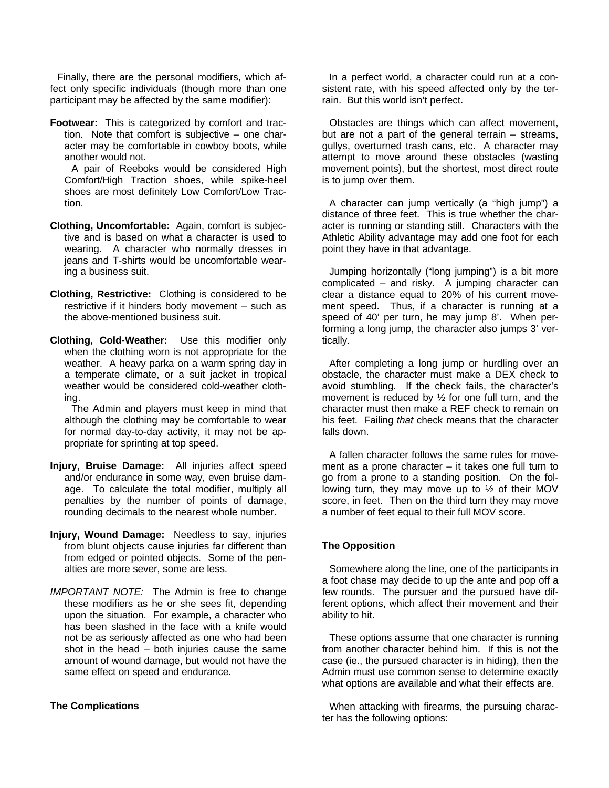Finally, there are the personal modifiers, which affect only specific individuals (though more than one participant may be affected by the same modifier):

**Footwear:** This is categorized by comfort and traction. Note that comfort is subjective – one character may be comfortable in cowboy boots, while another would not.

A pair of Reeboks would be considered High Comfort/High Traction shoes, while spike-heel shoes are most definitely Low Comfort/Low Traction.

- **Clothing, Uncomfortable:** Again, comfort is subjective and is based on what a character is used to wearing. A character who normally dresses in jeans and T-shirts would be uncomfortable wearing a business suit.
- **Clothing, Restrictive:** Clothing is considered to be restrictive if it hinders body movement – such as the above-mentioned business suit.
- **Clothing, Cold-Weather:** Use this modifier only when the clothing worn is not appropriate for the weather. A heavy parka on a warm spring day in a temperate climate, or a suit jacket in tropical weather would be considered cold-weather clothing.

The Admin and players must keep in mind that although the clothing may be comfortable to wear for normal day-to-day activity, it may not be appropriate for sprinting at top speed.

- **Injury, Bruise Damage:** All injuries affect speed and/or endurance in some way, even bruise damage. To calculate the total modifier, multiply all penalties by the number of points of damage, rounding decimals to the nearest whole number.
- **Injury, Wound Damage:** Needless to say, injuries from blunt objects cause injuries far different than from edged or pointed objects. Some of the penalties are more sever, some are less.
- *IMPORTANT NOTE:* The Admin is free to change these modifiers as he or she sees fit, depending upon the situation. For example, a character who has been slashed in the face with a knife would not be as seriously affected as one who had been shot in the head – both injuries cause the same amount of wound damage, but would not have the same effect on speed and endurance.

#### **The Complications**

In a perfect world, a character could run at a consistent rate, with his speed affected only by the terrain. But this world isn't perfect.

Obstacles are things which can affect movement, but are not a part of the general terrain – streams, gullys, overturned trash cans, etc. A character may attempt to move around these obstacles (wasting movement points), but the shortest, most direct route is to jump over them.

A character can jump vertically (a "high jump") a distance of three feet. This is true whether the character is running or standing still. Characters with the Athletic Ability advantage may add one foot for each point they have in that advantage.

Jumping horizontally ("long jumping") is a bit more complicated – and risky. A jumping character can clear a distance equal to 20% of his current movement speed. Thus, if a character is running at a speed of 40' per turn, he may jump 8'. When performing a long jump, the character also jumps 3' vertically.

After completing a long jump or hurdling over an obstacle, the character must make a DEX check to avoid stumbling. If the check fails, the character's movement is reduced by ½ for one full turn, and the character must then make a REF check to remain on his feet. Failing *that* check means that the character falls down.

A fallen character follows the same rules for movement as a prone character – it takes one full turn to go from a prone to a standing position. On the following turn, they may move up to  $\frac{1}{2}$  of their MOV score, in feet. Then on the third turn they may move a number of feet equal to their full MOV score.

#### **The Opposition**

Somewhere along the line, one of the participants in a foot chase may decide to up the ante and pop off a few rounds. The pursuer and the pursued have different options, which affect their movement and their ability to hit.

These options assume that one character is running from another character behind him. If this is not the case (ie., the pursued character is in hiding), then the Admin must use common sense to determine exactly what options are available and what their effects are.

When attacking with firearms, the pursuing character has the following options: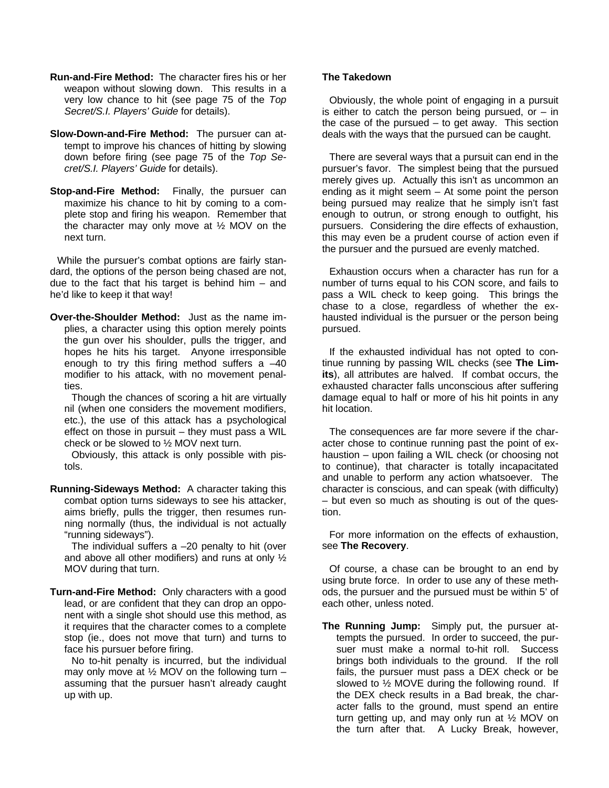- **Run-and-Fire Method:** The character fires his or her weapon without slowing down. This results in a very low chance to hit (see page 75 of the *Top Secret/S.I. Players' Guide* for details).
- **Slow-Down-and-Fire Method:** The pursuer can attempt to improve his chances of hitting by slowing down before firing (see page 75 of the *Top Secret/S.I. Players' Guide* for details).
- **Stop-and-Fire Method:** Finally, the pursuer can maximize his chance to hit by coming to a complete stop and firing his weapon. Remember that the character may only move at ½ MOV on the next turn.

While the pursuer's combat options are fairly standard, the options of the person being chased are not, due to the fact that his target is behind him  $-$  and he'd like to keep it that way!

**Over-the-Shoulder Method:** Just as the name implies, a character using this option merely points the gun over his shoulder, pulls the trigger, and hopes he hits his target. Anyone irresponsible enough to try this firing method suffers  $a -40$ modifier to his attack, with no movement penalties.

Though the chances of scoring a hit are virtually nil (when one considers the movement modifiers, etc.), the use of this attack has a psychological effect on those in pursuit – they must pass a WIL check or be slowed to ½ MOV next turn.

Obviously, this attack is only possible with pistols.

**Running-Sideways Method:** A character taking this combat option turns sideways to see his attacker, aims briefly, pulls the trigger, then resumes running normally (thus, the individual is not actually "running sideways").

The individual suffers  $a - 20$  penalty to hit (over and above all other modifiers) and runs at only  $\frac{1}{2}$ MOV during that turn.

**Turn-and-Fire Method:** Only characters with a good lead, or are confident that they can drop an opponent with a single shot should use this method, as it requires that the character comes to a complete stop (ie., does not move that turn) and turns to face his pursuer before firing.

No to-hit penalty is incurred, but the individual may only move at  $\frac{1}{2}$  MOV on the following turn – assuming that the pursuer hasn't already caught up with up.

### **The Takedown**

Obviously, the whole point of engaging in a pursuit is either to catch the person being pursued, or  $-$  in the case of the pursued  $-$  to get away. This section deals with the ways that the pursued can be caught.

There are several ways that a pursuit can end in the pursuer's favor. The simplest being that the pursued merely gives up. Actually this isn't as uncommon an ending as it might seem – At some point the person being pursued may realize that he simply isn't fast enough to outrun, or strong enough to outfight, his pursuers. Considering the dire effects of exhaustion, this may even be a prudent course of action even if the pursuer and the pursued are evenly matched.

Exhaustion occurs when a character has run for a number of turns equal to his CON score, and fails to pass a WIL check to keep going. This brings the chase to a close, regardless of whether the exhausted individual is the pursuer or the person being pursued.

If the exhausted individual has not opted to continue running by passing WIL checks (see **The Limits**), all attributes are halved. If combat occurs, the exhausted character falls unconscious after suffering damage equal to half or more of his hit points in any hit location.

The consequences are far more severe if the character chose to continue running past the point of exhaustion – upon failing a WIL check (or choosing not to continue), that character is totally incapacitated and unable to perform any action whatsoever. The character is conscious, and can speak (with difficulty) – but even so much as shouting is out of the question.

For more information on the effects of exhaustion, see **The Recovery**.

Of course, a chase can be brought to an end by using brute force. In order to use any of these methods, the pursuer and the pursued must be within 5' of each other, unless noted.

**The Running Jump:** Simply put, the pursuer attempts the pursued. In order to succeed, the pursuer must make a normal to-hit roll. Success brings both individuals to the ground. If the roll fails, the pursuer must pass a DEX check or be slowed to ½ MOVE during the following round. If the DEX check results in a Bad break, the character falls to the ground, must spend an entire turn getting up, and may only run at ½ MOV on the turn after that. A Lucky Break, however,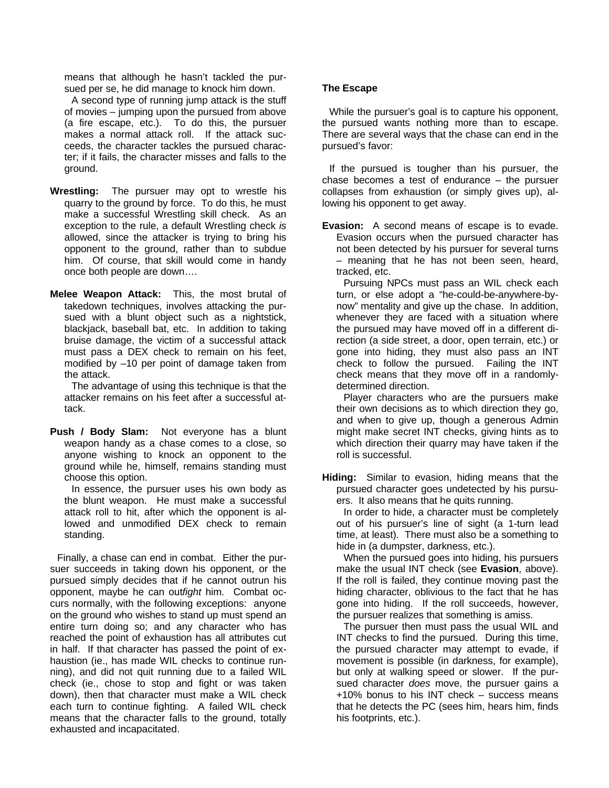means that although he hasn't tackled the pursued per se, he did manage to knock him down.

A second type of running jump attack is the stuff of movies – jumping upon the pursued from above (a fire escape, etc.). To do this, the pursuer makes a normal attack roll. If the attack succeeds, the character tackles the pursued character; if it fails, the character misses and falls to the ground.

- **Wrestling:** The pursuer may opt to wrestle his quarry to the ground by force. To do this, he must make a successful Wrestling skill check. As an exception to the rule, a default Wrestling check *is* allowed, since the attacker is trying to bring his opponent to the ground, rather than to subdue him. Of course, that skill would come in handy once both people are down….
- **Melee Weapon Attack:** This, the most brutal of takedown techniques, involves attacking the pursued with a blunt object such as a nightstick, blackjack, baseball bat, etc. In addition to taking bruise damage, the victim of a successful attack must pass a DEX check to remain on his feet, modified by –10 per point of damage taken from the attack.

The advantage of using this technique is that the attacker remains on his feet after a successful attack.

**Push / Body Slam:** Not everyone has a blunt weapon handy as a chase comes to a close, so anyone wishing to knock an opponent to the ground while he, himself, remains standing must choose this option.

In essence, the pursuer uses his own body as the blunt weapon. He must make a successful attack roll to hit, after which the opponent is allowed and unmodified DEX check to remain standing.

Finally, a chase can end in combat. Either the pursuer succeeds in taking down his opponent, or the pursued simply decides that if he cannot outrun his opponent, maybe he can out*fight* him. Combat occurs normally, with the following exceptions: anyone on the ground who wishes to stand up must spend an entire turn doing so; and any character who has reached the point of exhaustion has all attributes cut in half. If that character has passed the point of exhaustion (ie., has made WIL checks to continue running), and did not quit running due to a failed WIL check (ie., chose to stop and fight or was taken down), then that character must make a WIL check each turn to continue fighting. A failed WIL check means that the character falls to the ground, totally exhausted and incapacitated.

## **The Escape**

While the pursuer's goal is to capture his opponent, the pursued wants nothing more than to escape. There are several ways that the chase can end in the pursued's favor:

If the pursued is tougher than his pursuer, the chase becomes a test of endurance – the pursuer collapses from exhaustion (or simply gives up), allowing his opponent to get away.

**Evasion:** A second means of escape is to evade. Evasion occurs when the pursued character has not been detected by his pursuer for several turns – meaning that he has not been seen, heard, tracked, etc.

Pursuing NPCs must pass an WIL check each turn, or else adopt a "he-could-be-anywhere-bynow" mentality and give up the chase. In addition, whenever they are faced with a situation where the pursued may have moved off in a different direction (a side street, a door, open terrain, etc.) or gone into hiding, they must also pass an INT check to follow the pursued. Failing the INT check means that they move off in a randomlydetermined direction.

Player characters who are the pursuers make their own decisions as to which direction they go, and when to give up, though a generous Admin might make secret INT checks, giving hints as to which direction their quarry may have taken if the roll is successful.

**Hiding:** Similar to evasion, hiding means that the pursued character goes undetected by his pursuers. It also means that he quits running.

In order to hide, a character must be completely out of his pursuer's line of sight (a 1-turn lead time, at least). There must also be a something to hide in (a dumpster, darkness, etc.).

When the pursued goes into hiding, his pursuers make the usual INT check (see **Evasion**, above). If the roll is failed, they continue moving past the hiding character, oblivious to the fact that he has gone into hiding. If the roll succeeds, however, the pursuer realizes that something is amiss.

The pursuer then must pass the usual WIL and INT checks to find the pursued. During this time, the pursued character may attempt to evade, if movement is possible (in darkness, for example), but only at walking speed or slower. If the pursued character *does* move, the pursuer gains a +10% bonus to his INT check – success means that he detects the PC (sees him, hears him, finds his footprints, etc.).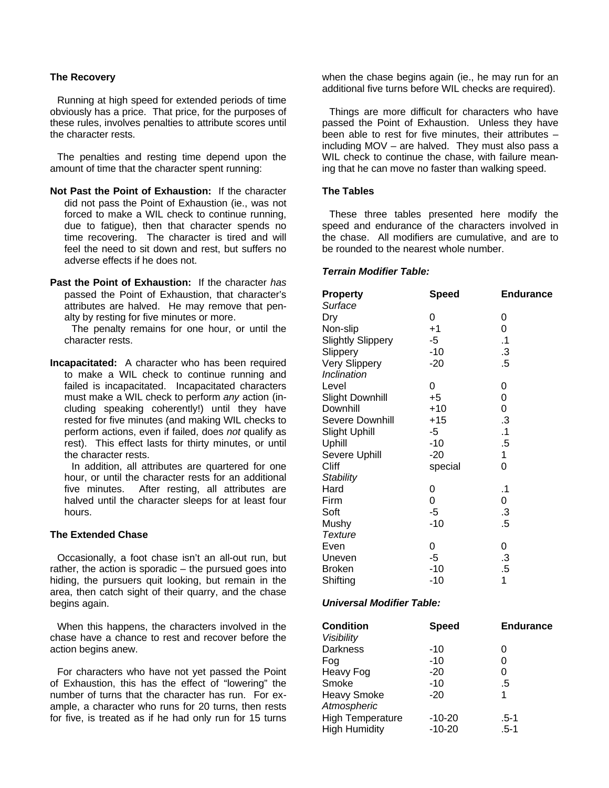## **The Recovery**

Running at high speed for extended periods of time obviously has a price. That price, for the purposes of these rules, involves penalties to attribute scores until the character rests.

The penalties and resting time depend upon the amount of time that the character spent running:

- **Not Past the Point of Exhaustion:** If the character did not pass the Point of Exhaustion (ie., was not forced to make a WIL check to continue running, due to fatigue), then that character spends no time recovering. The character is tired and will feel the need to sit down and rest, but suffers no adverse effects if he does not.
- **Past the Point of Exhaustion:** If the character *has* passed the Point of Exhaustion, that character's attributes are halved. He may remove that penalty by resting for five minutes or more.

The penalty remains for one hour, or until the character rests.

**Incapacitated:** A character who has been required to make a WIL check to continue running and failed is incapacitated. Incapacitated characters must make a WIL check to perform *any* action (including speaking coherently!) until they have rested for five minutes (and making WIL checks to perform actions, even if failed, does *not* qualify as rest). This effect lasts for thirty minutes, or until the character rests.

In addition, all attributes are quartered for one hour, or until the character rests for an additional five minutes. After resting, all attributes are halved until the character sleeps for at least four hours.

#### **The Extended Chase**

Occasionally, a foot chase isn't an all-out run, but rather, the action is sporadic – the pursued goes into hiding, the pursuers quit looking, but remain in the area, then catch sight of their quarry, and the chase begins again.

When this happens, the characters involved in the chase have a chance to rest and recover before the action begins anew.

For characters who have not yet passed the Point of Exhaustion, this has the effect of "lowering" the number of turns that the character has run. For example, a character who runs for 20 turns, then rests for five, is treated as if he had only run for 15 turns

when the chase begins again (ie., he may run for an additional five turns before WIL checks are required).

Things are more difficult for characters who have passed the Point of Exhaustion. Unless they have been able to rest for five minutes, their attributes – including MOV – are halved. They must also pass a WIL check to continue the chase, with failure meaning that he can move no faster than walking speed.

#### **The Tables**

These three tables presented here modify the speed and endurance of the characters involved in the chase. All modifiers are cumulative, and are to be rounded to the nearest whole number.

#### *Terrain Modifier Table:*

| <b>Property</b>          | <b>Speed</b> | <b>Endurance</b> |
|--------------------------|--------------|------------------|
| Surface                  |              |                  |
| Dry                      | 0            | 0                |
| Non-slip                 | $+1$         | 0                |
| <b>Slightly Slippery</b> | -5           | $\cdot$ 1        |
| Slippery                 | $-10$        | $\cdot$ 3        |
| Very Slippery            | $-20$        | .5               |
| Inclination              |              |                  |
| Level                    | 0            | 0                |
| <b>Slight Downhill</b>   | $+5$         | 0                |
| Downhill                 | $+10$        | 0                |
| <b>Severe Downhill</b>   | $+15$        | .3               |
| <b>Slight Uphill</b>     | -5           | $\cdot$ 1        |
| Uphill                   | -10          | .5               |
| Severe Uphill            | $-20$        | 1                |
| Cliff                    | special      | 0                |
| <b>Stability</b>         |              |                  |
| Hard                     | 0            | $\cdot$ 1        |
| Firm                     | 0            | 0                |
| Soft                     | -5           | .3               |
| Mushy                    | -10          | .5               |
| <b>Texture</b>           |              |                  |
| Even                     | 0            | 0                |
| Uneven                   | -5           | .3               |
| <b>Broken</b>            | $-10$        | .5               |
| Shifting                 | -10          | 1                |
|                          |              |                  |

### *Universal Modifier Table:*

| <b>Condition</b><br><b>Visibility</b> | <b>Speed</b> | <b>Endurance</b> |
|---------------------------------------|--------------|------------------|
| <b>Darkness</b>                       | $-10$        | 0                |
| Fog                                   | $-10$        | 0                |
| Heavy Fog                             | $-20$        | 0                |
| Smoke                                 | $-10$        | .5               |
| <b>Heavy Smoke</b>                    | $-20$        | 1                |
| Atmospheric                           |              |                  |
| <b>High Temperature</b>               | $-10-20$     | .5-1             |
| <b>High Humidity</b>                  | $-10-20$     | $.5 - 1$         |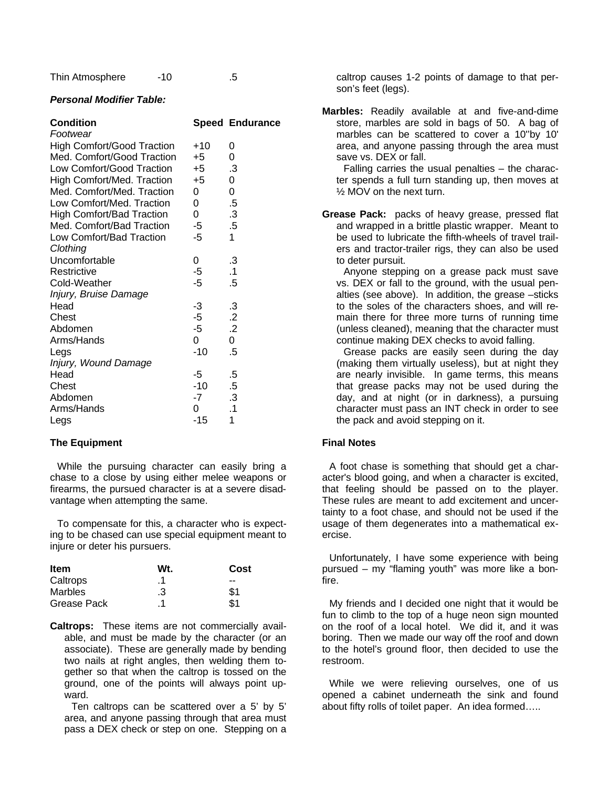Thin Atmosphere  $-10$  .5

# *Personal Modifier Table:*

| <b>Condition</b>                  |       | <b>Speed Endurance</b> |
|-----------------------------------|-------|------------------------|
| Footwear                          |       |                        |
| <b>High Comfort/Good Traction</b> | $+10$ | 0                      |
| Med. Comfort/Good Traction        | $+5$  | 0                      |
| Low Comfort/Good Traction         | $+5$  | .3                     |
| High Comfort/Med. Traction        | $+5$  | 0                      |
| Med. Comfort/Med. Traction        | 0     | 0                      |
| Low Comfort/Med. Traction         | 0     | $.5\,$                 |
| <b>High Comfort/Bad Traction</b>  | 0     | $\cdot$ 3              |
| Med. Comfort/Bad Traction         | -5    | .5                     |
| Low Comfort/Bad Traction          | -5    | 1                      |
| Clothing                          |       |                        |
| Uncomfortable                     | 0     | $\cdot$ 3              |
| Restrictive                       | -5    | $\cdot$ 1              |
| Cold-Weather                      | -5    | .5                     |
| Injury, Bruise Damage             |       |                        |
| Head                              | -3    | .3                     |
| Chest                             | -5    | .2                     |
| Abdomen                           | $-5$  | $\cdot$ .2             |
| Arms/Hands                        | 0     | 0                      |
| Legs                              | $-10$ | .5                     |
| Injury, Wound Damage              |       |                        |
| Head                              | -5    | .5                     |
| Chest                             | $-10$ | $.5\,$                 |
| Abdomen                           | -7    | .3                     |
| Arms/Hands                        | 0     | .1                     |
| Legs                              | -15   | 1                      |

# **The Equipment**

While the pursuing character can easily bring a chase to a close by using either melee weapons or firearms, the pursued character is at a severe disadvantage when attempting the same.

To compensate for this, a character who is expecting to be chased can use special equipment meant to injure or deter his pursuers.

| <b>Item</b>    | Wt. | Cost |
|----------------|-----|------|
| Caltrops       | .1  | --   |
| <b>Marbles</b> | .3  | \$1  |
| Grease Pack    | . 1 | \$1  |

**Caltrops:** These items are not commercially available, and must be made by the character (or an associate). These are generally made by bending two nails at right angles, then welding them together so that when the caltrop is tossed on the ground, one of the points will always point upward.

Ten caltrops can be scattered over a 5' by 5' area, and anyone passing through that area must pass a DEX check or step on one. Stepping on a

caltrop causes 1-2 points of damage to that person's feet (legs).

**Marbles:** Readily available at and five-and-dime store, marbles are sold in bags of 50. A bag of marbles can be scattered to cover a 10''by 10' area, and anyone passing through the area must save vs. DEX or fall.

Falling carries the usual penalties – the character spends a full turn standing up, then moves at ½ MOV on the next turn.

**Grease Pack:** packs of heavy grease, pressed flat and wrapped in a brittle plastic wrapper. Meant to be used to lubricate the fifth-wheels of travel trailers and tractor-trailer rigs, they can also be used to deter pursuit.

Anyone stepping on a grease pack must save vs. DEX or fall to the ground, with the usual penalties (see above). In addition, the grease –sticks to the soles of the characters shoes, and will remain there for three more turns of running time (unless cleaned), meaning that the character must continue making DEX checks to avoid falling.

Grease packs are easily seen during the day (making them virtually useless), but at night they are nearly invisible. In game terms, this means that grease packs may not be used during the day, and at night (or in darkness), a pursuing character must pass an INT check in order to see the pack and avoid stepping on it.

# **Final Notes**

A foot chase is something that should get a character's blood going, and when a character is excited, that feeling should be passed on to the player. These rules are meant to add excitement and uncertainty to a foot chase, and should not be used if the usage of them degenerates into a mathematical exercise.

Unfortunately, I have some experience with being pursued – my "flaming youth" was more like a bonfire.

My friends and I decided one night that it would be fun to climb to the top of a huge neon sign mounted on the roof of a local hotel. We did it, and it was boring. Then we made our way off the roof and down to the hotel's ground floor, then decided to use the restroom.

While we were relieving ourselves, one of us opened a cabinet underneath the sink and found about fifty rolls of toilet paper. An idea formed…..